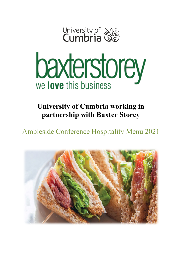



**University of Cumbria working in partnership with Baxter Storey**

Ambleside Conference Hospitality Menu 2021

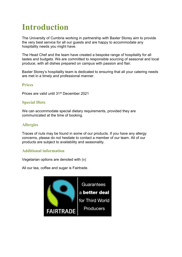# **Introduction**

The University of Cumbria working in partnership with Baxter Storey aim to provide the very best service for all our guests and are happy to accommodate any hospitality needs you might have.

The Head Chef and the team have created a bespoke range of hospitality for all tastes and budgets. We are committed to responsible sourcing of seasonal and local produce, with all dishes prepared on campus with passion and flair.

Baxter Storey's hospitality team is dedicated to ensuring that all your catering needs are met in a timely and professional manner.

## **Prices**

Prices are valid until 31st December 2021

## **Special Diets**

We can accommodate special dietary requirements, provided they are communicated at the time of booking.

## **Allergies**

Traces of nuts may be found in some of our products. If you have any allergy concerns, please do not hesitate to contact a member of our team. All of our products are subject to availability and seasonality.

### **Additional information**

Vegetarian options are denoted with (v)

All our tea, coffee and sugar is Fairtrade.

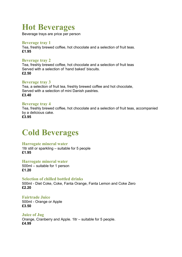## **Hot Beverages**

Beverage trays are price per person

### **Beverage tray 1**

Tea, freshly brewed coffee, hot chocolate and a selection of fruit teas. **£1.95**

## **Beverage tray 2**

Tea, freshly brewed coffee, hot chocolate and a selection of fruit teas Served with a selection of 'hand baked' biscuits. **£2.50**

## **Beverage tray 3**

Tea, a selection of fruit tea, freshly brewed coffee and hot chocolate, Served with a selection of mini Danish pastries. **£3.40**

## **Beverage tray 4**

Tea, freshly brewed coffee, hot chocolate and a selection of fruit teas, accompanied by a delicious cake.

**£3.95**

## **Cold Beverages**

## **Harrogate mineral water**

1ltr still or sparkling – suitable for 5 people **£1.95**

**Harrogate mineral water**

500ml – suitable for 1 person **£1.20**

### **Selection of chilled bottled drinks**

500ml - Diet Coke, Coke, Fanta Orange, Fanta Lemon and Coke Zero **£2.20**

**Fairtrade Juice**  500ml - Orange or Apple **£3.50**

**Juice of Jug** Orange, Cranberry and Apple. 1ltr – suitable for 5 people. **£4.99**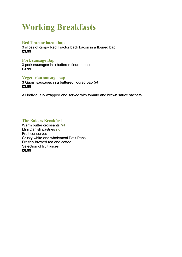## **Working Breakfasts**

### **Red Tractor bacon bap**

3 slices of crispy Red Tractor back bacon in a floured bap **£3.99**

#### **Pork sausage Bap**

3 pork sausages in a buttered floured bap **£3.99**

### **Vegetarian sausage bap**

3 Quorn sausages in a buttered floured bap (*v)* **£3.99**

All individually wrapped and served with tomato and brown sauce sachets

### **The Bakers Breakfast**

Warm butter croissants *(v)* Mini Danish pastries *(v)* Fruit conserves Crusty white and wholemeal Petit Pans Freshly brewed tea and coffee Selection of fruit juices **£6.99**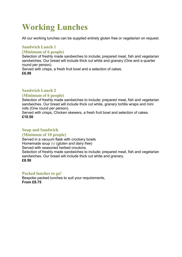## **Working Lunches**

All our working lunches can be supplied entirely gluten free or vegetarian on request.

## **Sandwich Lunch 1**

## **(Minimum of 6 people)**

Selection of freshly made sandwiches to include; prepared meat, fish and vegetarian sandwiches. Our bread will include thick cut white and granary (One and a quarter round per person).

Served with crisps, a fresh fruit bowl and a selection of cakes. **£6.99**

## **Sandwich Lunch 2**

## **(Minimum of 6 people)**

Selection of freshly made sandwiches to include; prepared meat, fish and vegetarian sandwiches. Our bread will include thick cut white, granary tortilla wraps and mini rolls (One round per person).

Served with crisps, Chicken skewers, a fresh fruit bowl and selection of cakes. **£10.50**

## **Soup and Sandwich**

### **(Minimum of 10 people)**

Served in a vacuum flask with crockery bowls Homemade soup *(v)* (*gluten and dairy free*) Served with seasoned herbed croutons.

Selection of freshly made sandwiches to include; prepared meat, fish and vegetarian sandwiches. Our bread will include thick cut white and granary. **£8.50**

### **Packed lunches to go!**

Bespoke packed lunches to suit your requirements, **From £8.75**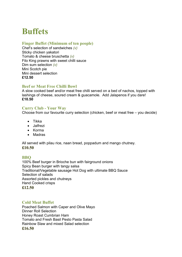## **Buffets**

## **Finger Buffet (Minimum of ten people)**

Chef's selection of sandwiches *(v)* Sticky chicken yakatori Tomato & cheese bruschetta *(v)* Filo King prawns with sweet chilli sauce Dim sum selection *(v)* Mini Scotch pie Mini dessert selection **£12.50**

## **Beef or Meat Free Chilli Bowl**

A slow cooked beef and/or meat free chilli served on a bed of nachos, topped with lashings of cheese, soured cream & guacamole. Add Jalapenos if you dare! **£10.50**

## **Curry Club - Your Way**

Choose from our favourite curry selection (chicken, beef or meat free – you decide)

- Tikka
- Jalfrezi
- Korma
- Madras

All served with pilau rice, naan bread, poppadum and mango chutney. **£10.50**

## **BBQ**

100% Beef burger in Brioche bun with fairground onions Spicy Bean burger with tangy salsa Traditional/Vegetable sausage Hot Dog with ultimate BBQ Sauce Selection of salads Assorted pickles and chutneys Hand Cooked crisps **£12.50**

## **Cold Meat Buffet**

Poached Salmon with Caper and Olive Mayo Dinner Roll Selection Honey Roast Cumbrian Ham Tomato and Fresh Basil Pesto Pasta Salad Rainbow Slaw and mixed Salad selection **£16.50**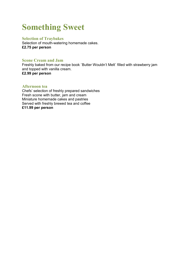## **Something Sweet**

### **Selection of Traybakes**

Selection of mouth-watering homemade cakes. **£2.75 per person**

### **Scone Cream and Jam**

Freshly baked from our recipe book `Butter Wouldn't Melt` filled with strawberry jam and topped with vanilla cream. **£2.99 per person**

#### **Afternoon tea**

Chefs' selection of freshly prepared sandwiches Fresh scone with butter, jam and cream Miniature homemade cakes and pastries Served with freshly brewed tea and coffee **£11.99 per person**